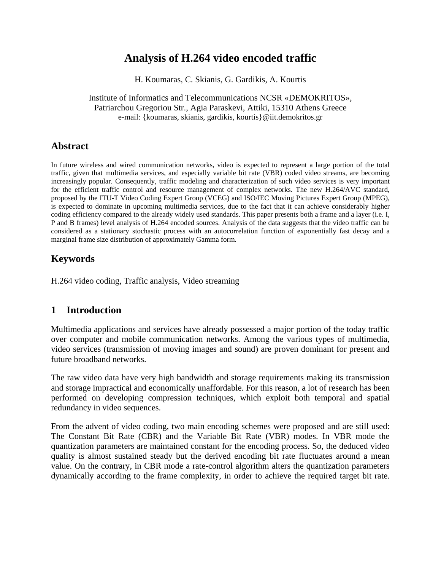# **Analysis of H.264 video encoded traffic**

H. Koumaras, C. Skianis, G. Gardikis, A. Kourtis

Institute of Informatics and Telecommunications NCSR «DEMOKRITOS», Patriarchou Gregoriou Str., Agia Paraskevi, Attiki, 15310 Athens Greece e-mail: {koumaras, skianis, gardikis, kourtis}@iit.demokritos.gr

## **Abstract**

In future wireless and wired communication networks, video is expected to represent a large portion of the total traffic, given that multimedia services, and especially variable bit rate (VBR) coded video streams, are becoming increasingly popular. Consequently, traffic modeling and characterization of such video services is very important for the efficient traffic control and resource management of complex networks. The new H.264/AVC standard, proposed by the ITU-T Video Coding Expert Group (VCEG) and ISO/IEC Moving Pictures Expert Group (MPEG), is expected to dominate in upcoming multimedia services, due to the fact that it can achieve considerably higher coding efficiency compared to the already widely used standards. This paper presents both a frame and a layer (i.e. I, P and B frames) level analysis of H.264 encoded sources. Analysis of the data suggests that the video traffic can be considered as a stationary stochastic process with an autocorrelation function of exponentially fast decay and a marginal frame size distribution of approximately Gamma form.

# **Keywords**

H.264 video coding, Traffic analysis, Video streaming

## **1 Introduction**

Multimedia applications and services have already possessed a major portion of the today traffic over computer and mobile communication networks. Among the various types of multimedia, video services (transmission of moving images and sound) are proven dominant for present and future broadband networks.

The raw video data have very high bandwidth and storage requirements making its transmission and storage impractical and economically unaffordable. For this reason, a lot of research has been performed on developing compression techniques, which exploit both temporal and spatial redundancy in video sequences.

From the advent of video coding, two main encoding schemes were proposed and are still used: The Constant Bit Rate (CBR) and the Variable Bit Rate (VBR) modes. In VBR mode the quantization parameters are maintained constant for the encoding process. So, the deduced video quality is almost sustained steady but the derived encoding bit rate fluctuates around a mean value. On the contrary, in CBR mode a rate-control algorithm alters the quantization parameters dynamically according to the frame complexity, in order to achieve the required target bit rate.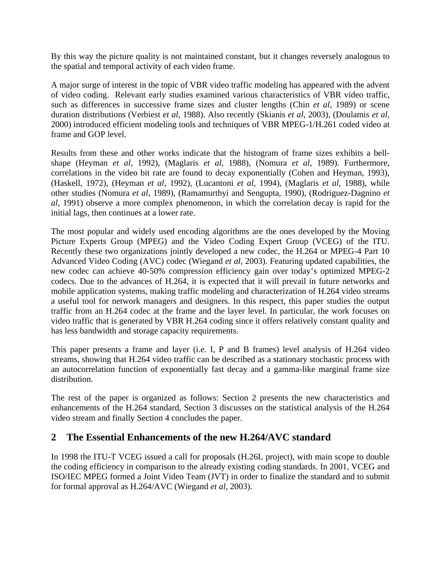By this way the picture quality is not maintained constant, but it changes reversely analogous to the spatial and temporal activity of each video frame.

A major surge of interest in the topic of VBR video traffic modeling has appeared with the advent of video coding. Relevant early studies examined various characteristics of VBR video traffic, such as differences in successive frame sizes and cluster lengths (Chin *et al*, 1989) or scene duration distributions (Verbiest *et al*, 1988). Also recently (Skianis *et al*, 2003), (Doulamis *et al,* 2000) introduced efficient modeling tools and techniques of VBR MPEG-1/H.261 coded video at frame and GOP level.

Results from these and other works indicate that the histogram of frame sizes exhibits a bellshape (Heyman *et al*, 1992), (Maglaris *et al*, 1988), (Nomura *et al*, 1989). Furthermore, correlations in the video bit rate are found to decay exponentially (Cohen and Heyman, 1993), (Haskell, 1972), (Heyman *et al*, 1992), (Lucantoni *et al*, 1994), (Maglaris *et al*, 1988), while other studies (Nomura *et al*, 1989), (Ramamurthyi and Sengupta, 1990), (Rodriguez-Dagnino *et al*, 1991) observe a more complex phenomenon, in which the correlation decay is rapid for the initial lags, then continues at a lower rate.

The most popular and widely used encoding algorithms are the ones developed by the Moving Picture Experts Group (MPEG) and the Video Coding Expert Group (VCEG) of the ITU. Recently these two organizations jointly developed a new codec, the H.264 or MPEG-4 Part 10 Advanced Video Coding (AVC) codec (Wiegand *et al*, 2003). Featuring updated capabilities, the new codec can achieve 40-50% compression efficiency gain over today's optimized MPEG-2 codecs. Due to the advances of H.264, it is expected that it will prevail in future networks and mobile application systems, making traffic modeling and characterization of H.264 video streams a useful tool for network managers and designers. In this respect, this paper studies the output traffic from an H.264 codec at the frame and the layer level. In particular, the work focuses on video traffic that is generated by VBR H.264 coding since it offers relatively constant quality and has less bandwidth and storage capacity requirements.

This paper presents a frame and layer (i.e. I, P and B frames) level analysis of H.264 video streams, showing that H.264 video traffic can be described as a stationary stochastic process with an autocorrelation function of exponentially fast decay and a gamma-like marginal frame size distribution.

The rest of the paper is organized as follows: Section 2 presents the new characteristics and enhancements of the H.264 standard, Section 3 discusses on the statistical analysis of the H.264 video stream and finally Section 4 concludes the paper.

# **2 The Essential Enhancements of the new H.264/AVC standard**

In 1998 the ITU-T VCEG issued a call for proposals (H.26L project), with main scope to double the coding efficiency in comparison to the already existing coding standards. In 2001, VCEG and ISO/IEC MPEG formed a Joint Video Team (JVT) in order to finalize the standard and to submit for formal approval as H.264/AVC (Wiegand *et al*, 2003).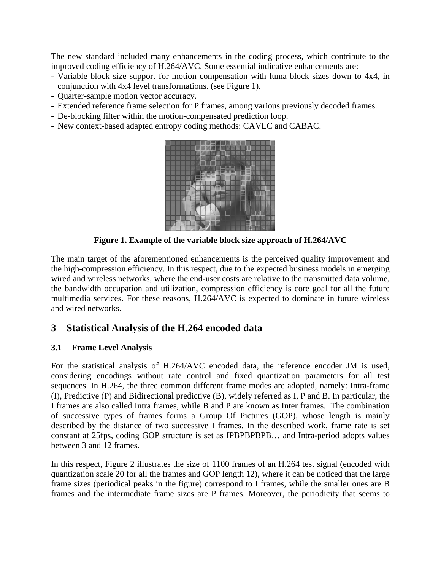The new standard included many enhancements in the coding process, which contribute to the improved coding efficiency of H.264/AVC. Some essential indicative enhancements are:

- Variable block size support for motion compensation with luma block sizes down to 4x4, in conjunction with 4x4 level transformations. (see Figure 1).
- Quarter-sample motion vector accuracy.
- Extended reference frame selection for P frames, among various previously decoded frames.
- De-blocking filter within the motion-compensated prediction loop.
- New context-based adapted entropy coding methods: CAVLC and CABAC.



**Figure 1. Example of the variable block size approach of H.264/AVC** 

The main target of the aforementioned enhancements is the perceived quality improvement and the high-compression efficiency. In this respect, due to the expected business models in emerging wired and wireless networks, where the end-user costs are relative to the transmitted data volume, the bandwidth occupation and utilization, compression efficiency is core goal for all the future multimedia services. For these reasons, H.264/AVC is expected to dominate in future wireless and wired networks.

# **3 Statistical Analysis of the H.264 encoded data**

### **3.1 Frame Level Analysis**

For the statistical analysis of H.264/AVC encoded data, the reference encoder JM is used, considering encodings without rate control and fixed quantization parameters for all test sequences. In H.264, the three common different frame modes are adopted, namely: Intra-frame (I), Predictive (P) and Bidirectional predictive (B), widely referred as I, P and B. In particular, the I frames are also called Intra frames, while B and P are known as Inter frames. The combination of successive types of frames forms a Group Of Pictures (GOP), whose length is mainly described by the distance of two successive I frames. In the described work, frame rate is set constant at 25fps, coding GOP structure is set as IPBPBPBPB… and Intra-period adopts values between 3 and 12 frames.

In this respect, Figure 2 illustrates the size of 1100 frames of an H.264 test signal (encoded with quantization scale 20 for all the frames and GOP length 12), where it can be noticed that the large frame sizes (periodical peaks in the figure) correspond to I frames, while the smaller ones are B frames and the intermediate frame sizes are P frames. Moreover, the periodicity that seems to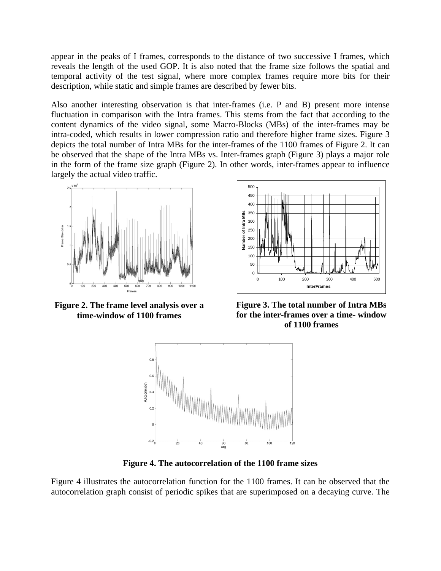appear in the peaks of I frames, corresponds to the distance of two successive I frames, which reveals the length of the used GOP. It is also noted that the frame size follows the spatial and temporal activity of the test signal, where more complex frames require more bits for their description, while static and simple frames are described by fewer bits.

Also another interesting observation is that inter-frames (i.e. P and B) present more intense fluctuation in comparison with the Intra frames. This stems from the fact that according to the content dynamics of the video signal, some Macro-Blocks (MBs) of the inter-frames may be intra-coded, which results in lower compression ratio and therefore higher frame sizes. Figure 3 depicts the total number of Intra MBs for the inter-frames of the 1100 frames of Figure 2. It can be observed that the shape of the Intra MBs vs. Inter-frames graph (Figure 3) plays a major role in the form of the frame size graph (Figure 2). In other words, inter-frames appear to influence largely the actual video traffic.



**Figure 2. The frame level analysis over a time-window of 1100 frames** 



**Figure 3. The total number of Intra MBs for the inter-frames over a time- window of 1100 frames** 



**Figure 4. The autocorrelation of the 1100 frame sizes** 

Figure 4 illustrates the autocorrelation function for the 1100 frames. It can be observed that the autocorrelation graph consist of periodic spikes that are superimposed on a decaying curve. The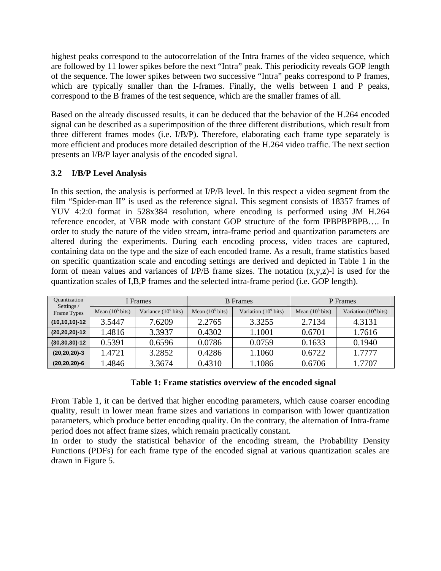highest peaks correspond to the autocorrelation of the Intra frames of the video sequence, which are followed by 11 lower spikes before the next "Intra" peak. This periodicity reveals GOP length of the sequence. The lower spikes between two successive "Intra" peaks correspond to P frames, which are typically smaller than the I-frames. Finally, the wells between I and P peaks, correspond to the B frames of the test sequence, which are the smaller frames of all.

Based on the already discussed results, it can be deduced that the behavior of the H.264 encoded signal can be described as a superimposition of the three different distributions, which result from three different frames modes (i.e. I/B/P). Therefore, elaborating each frame type separately is more efficient and produces more detailed description of the H.264 video traffic. The next section presents an I/B/P layer analysis of the encoded signal.

### **3.2 I/B/P Level Analysis**

In this section, the analysis is performed at I/P/B level. In this respect a video segment from the film "Spider-man II" is used as the reference signal. This segment consists of 18357 frames of YUV 4:2:0 format in 528x384 resolution, where encoding is performed using JM H.264 reference encoder, at VBR mode with constant GOP structure of the form IPBPBPBPB…. In order to study the nature of the video stream, intra-frame period and quantization parameters are altered during the experiments. During each encoding process, video traces are captured, containing data on the type and the size of each encoded frame. As a result, frame statistics based on specific quantization scale and encoding settings are derived and depicted in Table 1 in the form of mean values and variances of I/P/B frame sizes. The notation (x,y,z)-l is used for the quantization scales of I,B,P frames and the selected intra-frame period (i.e. GOP length).

| <b>Quantization</b><br>Settings /<br>Frame Types | f Frames           |                        | <b>B</b> Frames    |                         | P Frames           |                         |
|--------------------------------------------------|--------------------|------------------------|--------------------|-------------------------|--------------------|-------------------------|
|                                                  | Mean $(10^5$ bits) | Variance $(10^9$ bits) | Mean $(10^5$ bits) | Variation $(10^9$ bits) | Mean $(10^5$ bits) | Variation $(10^9$ bits) |
| $(10, 10, 10) - 12$                              | 3.5447             | 7.6209                 | 2.2765             | 3.3255                  | 2.7134             | 4.3131                  |
| $(20, 20, 20) - 12$                              | 1.4816             | 3.3937                 | 0.4302             | 1.1001                  | 0.6701             | 1.7616                  |
| $(30, 30, 30) - 12$                              | 0.5391             | 0.6596                 | 0.0786             | 0.0759                  | 0.1633             | 0.1940                  |
| $(20, 20, 20)-3$                                 | 1.4721             | 3.2852                 | 0.4286             | 1.1060                  | 0.6722             | 1.7777                  |
| $(20, 20, 20)$ -6                                | 1.4846             | 3.3674                 | 0.4310             | 1.1086                  | 0.6706             | 1.7707                  |

#### **Table 1: Frame statistics overview of the encoded signal**

From Table 1, it can be derived that higher encoding parameters, which cause coarser encoding quality, result in lower mean frame sizes and variations in comparison with lower quantization parameters, which produce better encoding quality. On the contrary, the alternation of Intra-frame period does not affect frame sizes, which remain practically constant.

In order to study the statistical behavior of the encoding stream, the Probability Density Functions (PDFs) for each frame type of the encoded signal at various quantization scales are drawn in Figure 5.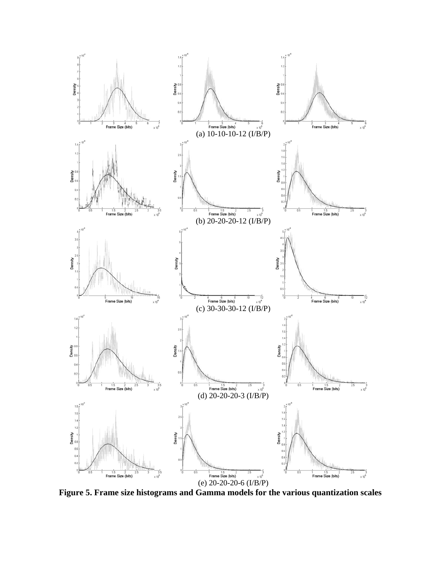

**Figure 5. Frame size histograms and Gamma models for the various quantization scales**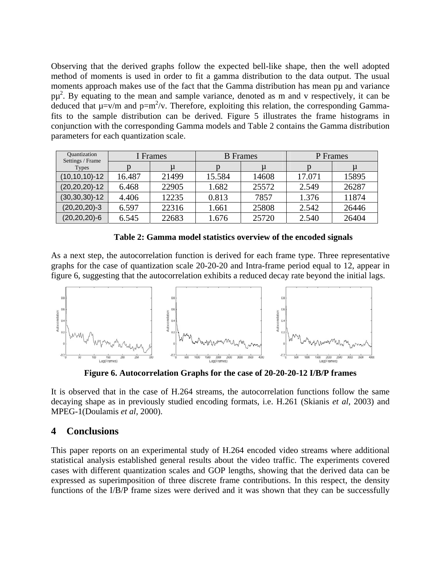Observing that the derived graphs follow the expected bell-like shape, then the well adopted method of moments is used in order to fit a gamma distribution to the data output. The usual moments approach makes use of the fact that the Gamma distribution has mean pu and variance  $p\mu^2$ . By equating to the mean and sample variance, denoted as m and v respectively, it can be deduced that  $\mu = v/m$  and  $p = m^2/v$ . Therefore, exploiting this relation, the corresponding Gammafits to the sample distribution can be derived. Figure 5 illustrates the frame histograms in conjunction with the corresponding Gamma models and Table 2 contains the Gamma distribution parameters for each quantization scale.

| Quantization<br>Settings / Frame | I Frames |       | <b>B</b> Frames |       | P Frames |       |
|----------------------------------|----------|-------|-----------------|-------|----------|-------|
| <b>Types</b>                     |          |       |                 | u     |          |       |
| $(10, 10, 10)$ -12               | 16.487   | 21499 | 15.584          | 14608 | 17.071   | 15895 |
| $(20, 20, 20)$ -12               | 6.468    | 22905 | 1.682           | 25572 | 2.549    | 26287 |
| $(30, 30, 30) - 12$              | 4.406    | 12235 | 0.813           | 7857  | 1.376    | 11874 |
| $(20, 20, 20) - 3$               | 6.597    | 22316 | 1.661           | 25808 | 2.542    | 26446 |
| $(20, 20, 20)$ -6                | 6.545    | 22683 | 1.676           | 25720 | 2.540    | 26404 |

**Table 2: Gamma model statistics overview of the encoded signals** 

As a next step, the autocorrelation function is derived for each frame type. Three representative graphs for the case of quantization scale 20-20-20 and Intra-frame period equal to 12, appear in figure 6, suggesting that the autocorrelation exhibits a reduced decay rate beyond the initial lags.



**Figure 6. Autocorrelation Graphs for the case of 20-20-20-12 I/B/P frames** 

It is observed that in the case of H.264 streams, the autocorrelation functions follow the same decaying shape as in previously studied encoding formats, i.e. H.261 (Skianis *et al*, 2003) and MPEG-1(Doulamis *et al,* 2000).

### **4 Conclusions**

This paper reports on an experimental study of H.264 encoded video streams where additional statistical analysis established general results about the video traffic. The experiments covered cases with different quantization scales and GOP lengths, showing that the derived data can be expressed as superimposition of three discrete frame contributions. In this respect, the density functions of the I/B/P frame sizes were derived and it was shown that they can be successfully